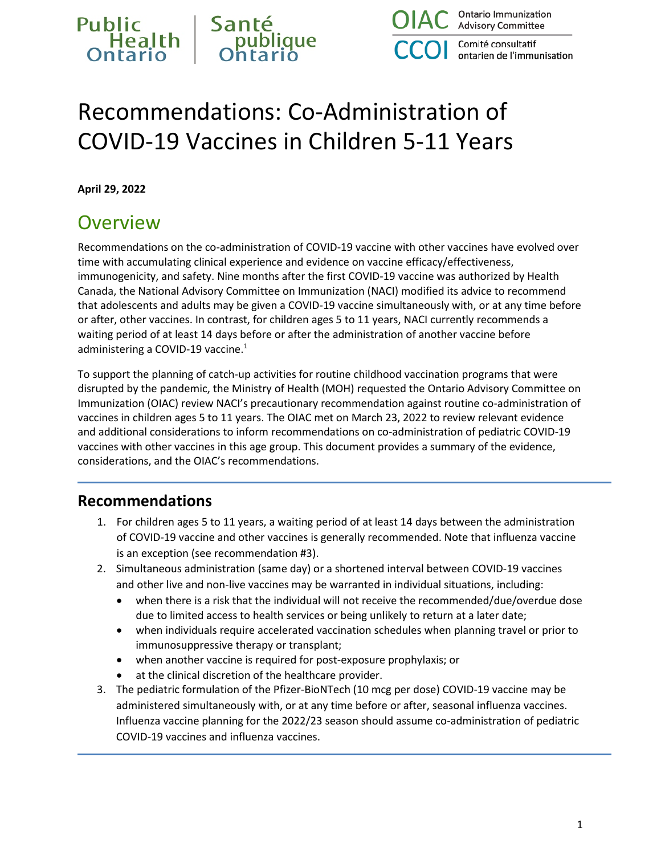

Comité consultatif ontarien de l'immunisation

# Recommendations: Co-Administration of COVID-19 Vaccines in Children 5-11 Years

**April 29, 2022**

#### **Overview**

Recommendations on the co-administration of COVID-19 vaccine with other vaccines have evolved over time with accumulating clinical experience and evidence on vaccine efficacy/effectiveness, immunogenicity, and safety. Nine months after the first COVID-19 vaccine was authorized by Health Canada, the National Advisory Committee on Immunization (NACI) modified its advice to recommend that adolescents and adults may be given a COVID-19 vaccine simultaneously with, or at any time before or after, other vaccines. In contrast, for children ages 5 to 11 years, NACI currently recommends a waiting period of at least 14 days before or after the administration of another vaccine before administering a COVID-19 vaccine. $1$ 

To support the planning of catch-up activities for routine childhood vaccination programs that were disrupted by the pandemic, the Ministry of Health (MOH) requested the Ontario Advisory Committee on Immunization (OIAC) review NACI's precautionary recommendation against routine co-administration of vaccines in children ages 5 to 11 years. The OIAC met on March 23, 2022 to review relevant evidence and additional considerations to inform recommendations on co-administration of pediatric COVID-19 vaccines with other vaccines in this age group. This document provides a summary of the evidence, considerations, and the OIAC's recommendations.

#### **Recommendations**

- 1. For children ages 5 to 11 years, a waiting period of at least 14 days between the administration of COVID-19 vaccine and other vaccines is generally recommended. Note that influenza vaccine is an exception (see recommendation #3).
- 2. Simultaneous administration (same day) or a shortened interval between COVID-19 vaccines and other live and non-live vaccines may be warranted in individual situations, including:
	- when there is a risk that the individual will not receive the recommended/due/overdue dose due to limited access to health services or being unlikely to return at a later date;
	- when individuals require accelerated vaccination schedules when planning travel or prior to immunosuppressive therapy or transplant;
	- when another vaccine is required for post-exposure prophylaxis; or
	- at the clinical discretion of the healthcare provider.
- 3. The pediatric formulation of the Pfizer-BioNTech (10 mcg per dose) COVID-19 vaccine may be administered simultaneously with, or at any time before or after, seasonal influenza vaccines. Influenza vaccine planning for the 2022/23 season should assume co-administration of pediatric COVID-19 vaccines and influenza vaccines.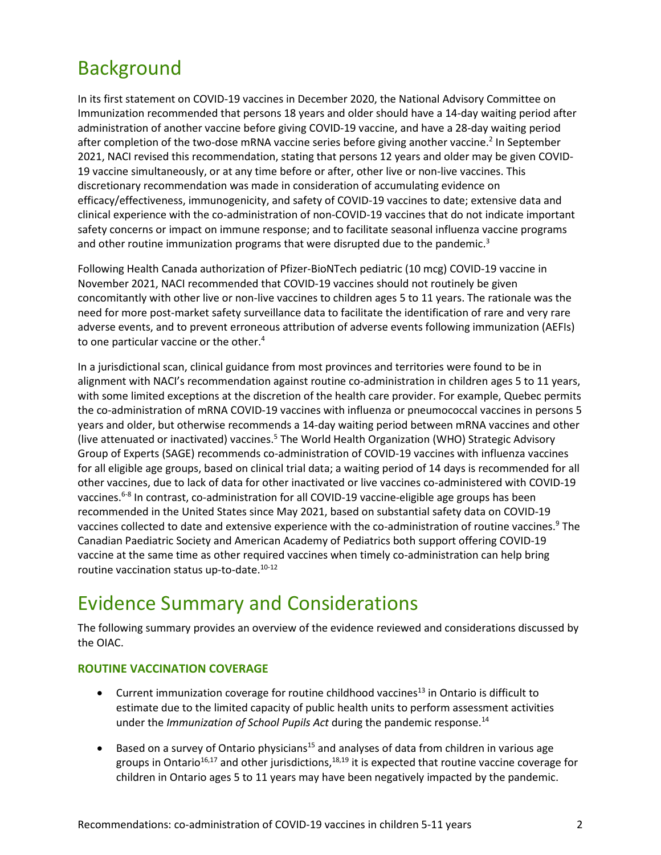### **Background**

In its first statement on COVID-19 vaccines in December 2020, the National Advisory Committee on Immunization recommended that persons 18 years and older should have a 14-day waiting period after administration of another vaccine before giving COVID-19 vaccine, and have a 28-day waiting period after completion of the two-dose mRNA vaccine series before giving another vaccine.<sup>2</sup> In September 2021, NACI revised this recommendation, stating that persons 12 years and older may be given COVID-19 vaccine simultaneously, or at any time before or after, other live or non-live vaccines. This discretionary recommendation was made in consideration of accumulating evidence on efficacy/effectiveness, immunogenicity, and safety of COVID-19 vaccines to date; extensive data and clinical experience with the co-administration of non-COVID-19 vaccines that do not indicate important safety concerns or impact on immune response; and to facilitate seasonal influenza vaccine programs and other routine immunization programs that were disrupted due to the pandemic.<sup>3</sup>

Following Health Canada authorization of Pfizer-BioNTech pediatric (10 mcg) COVID-19 vaccine in November 2021, NACI recommended that COVID-19 vaccines should not routinely be given concomitantly with other live or non-live vaccines to children ages 5 to 11 years. The rationale was the need for more post-market safety surveillance data to facilitate the identification of rare and very rare adverse events, and to prevent erroneous attribution of adverse events following immunization (AEFIs) to one particular vaccine or the other.<sup>4</sup>

In a jurisdictional scan, clinical guidance from most provinces and territories were found to be in alignment with NACI's recommendation against routine co-administration in children ages 5 to 11 years, with some limited exceptions at the discretion of the health care provider. For example, Quebec permits the co-administration of mRNA COVID-19 vaccines with influenza or pneumococcal vaccines in persons 5 years and older, but otherwise recommends a 14-day waiting period between mRNA vaccines and other (live attenuated or inactivated) vaccines.<sup>5</sup> The World Health Organization (WHO) Strategic Advisory Group of Experts (SAGE) recommends co-administration of COVID-19 vaccines with influenza vaccines for all eligible age groups, based on clinical trial data; a waiting period of 14 days is recommended for all other vaccines, due to lack of data for other inactivated or live vaccines co-administered with COVID-19 vaccines.<sup>6-8</sup> In contrast, co-administration for all COVID-19 vaccine-eligible age groups has been recommended in the United States since May 2021, based on substantial safety data on COVID-19 vaccines collected to date and extensive experience with the co-administration of routine vaccines.<sup>9</sup> The Canadian Paediatric Society and American Academy of Pediatrics both support offering COVID-19 vaccine at the same time as other required vaccines when timely co-administration can help bring routine vaccination status up-to-date.<sup>10-12</sup>

### Evidence Summary and Considerations

The following summary provides an overview of the evidence reviewed and considerations discussed by the OIAC.

#### **ROUTINE VACCINATION COVERAGE**

- Current immunization coverage for routine childhood vaccines<sup>13</sup> in Ontario is difficult to estimate due to the limited capacity of public health units to perform assessment activities under the *Immunization of School Pupils Act* during the pandemic response.14
- Based on a survey of Ontario physicians<sup>15</sup> and analyses of data from children in various age groups in Ontario<sup>16,17</sup> and other jurisdictions,<sup>18,19</sup> it is expected that routine vaccine coverage for children in Ontario ages 5 to 11 years may have been negatively impacted by the pandemic.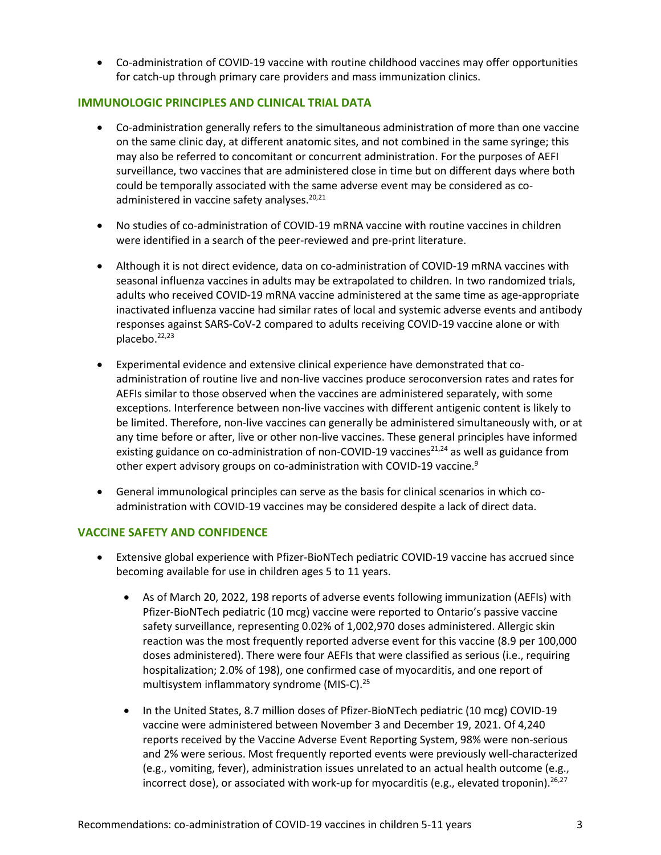• Co-administration of COVID-19 vaccine with routine childhood vaccines may offer opportunities for catch-up through primary care providers and mass immunization clinics.

#### **IMMUNOLOGIC PRINCIPLES AND CLINICAL TRIAL DATA**

- Co-administration generally refers to the simultaneous administration of more than one vaccine on the same clinic day, at different anatomic sites, and not combined in the same syringe; this may also be referred to concomitant or concurrent administration. For the purposes of AEFI surveillance, two vaccines that are administered close in time but on different days where both could be temporally associated with the same adverse event may be considered as coadministered in vaccine safety analyses. $20,21$
- No studies of co-administration of COVID-19 mRNA vaccine with routine vaccines in children were identified in a search of the peer-reviewed and pre-print literature.
- Although it is not direct evidence, data on co-administration of COVID-19 mRNA vaccines with seasonal influenza vaccines in adults may be extrapolated to children. In two randomized trials, adults who received COVID-19 mRNA vaccine administered at the same time as age-appropriate inactivated influenza vaccine had similar rates of local and systemic adverse events and antibody responses against SARS-CoV-2 compared to adults receiving COVID-19 vaccine alone or with placebo.<sup>22,23</sup>
- Experimental evidence and extensive clinical experience have demonstrated that coadministration of routine live and non-live vaccines produce seroconversion rates and rates for AEFIs similar to those observed when the vaccines are administered separately, with some exceptions. Interference between non-live vaccines with different antigenic content is likely to be limited. Therefore, non-live vaccines can generally be administered simultaneously with, or at any time before or after, live or other non-live vaccines. These general principles have informed existing guidance on co-administration of non-COVID-19 vaccines<sup>21,24</sup> as well as guidance from other expert advisory groups on co-administration with COVID-19 vaccine.<sup>9</sup>
- General immunological principles can serve as the basis for clinical scenarios in which coadministration with COVID-19 vaccines may be considered despite a lack of direct data.

#### **VACCINE SAFETY AND CONFIDENCE**

- Extensive global experience with Pfizer-BioNTech pediatric COVID-19 vaccine has accrued since becoming available for use in children ages 5 to 11 years.
	- As of March 20, 2022, 198 reports of adverse events following immunization (AEFIs) with Pfizer-BioNTech pediatric (10 mcg) vaccine were reported to Ontario's passive vaccine safety surveillance, representing 0.02% of 1,002,970 doses administered. Allergic skin reaction was the most frequently reported adverse event for this vaccine (8.9 per 100,000 doses administered). There were four AEFIs that were classified as serious (i.e., requiring hospitalization; 2.0% of 198), one confirmed case of myocarditis, and one report of multisystem inflammatory syndrome (MIS-C).<sup>25</sup>
	- In the United States, 8.7 million doses of Pfizer-BioNTech pediatric (10 mcg) COVID-19 vaccine were administered between November 3 and December 19, 2021. Of 4,240 reports received by the Vaccine Adverse Event Reporting System, 98% were non-serious and 2% were serious. Most frequently reported events were previously well-characterized (e.g., vomiting, fever), administration issues unrelated to an actual health outcome (e.g., incorrect dose), or associated with work-up for myocarditis (e.g., elevated troponin).<sup>26,27</sup>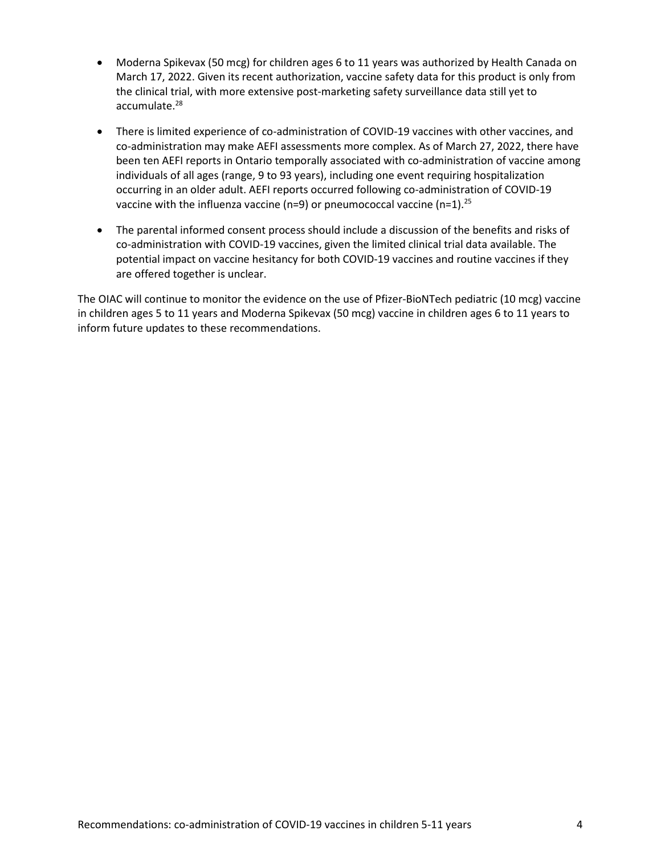- Moderna Spikevax (50 mcg) for children ages 6 to 11 years was authorized by Health Canada on March 17, 2022. Given its recent authorization, vaccine safety data for this product is only from the clinical trial, with more extensive post-marketing safety surveillance data still yet to accumulate. 28
- There is limited experience of co-administration of COVID-19 vaccines with other vaccines, and co-administration may make AEFI assessments more complex. As of March 27, 2022, there have been ten AEFI reports in Ontario temporally associated with co-administration of vaccine among individuals of all ages (range, 9 to 93 years), including one event requiring hospitalization occurring in an older adult. AEFI reports occurred following co-administration of COVID-19 vaccine with the influenza vaccine (n=9) or pneumococcal vaccine (n=1).<sup>25</sup>
- The parental informed consent process should include a discussion of the benefits and risks of co-administration with COVID-19 vaccines, given the limited clinical trial data available. The potential impact on vaccine hesitancy for both COVID-19 vaccines and routine vaccines if they are offered together is unclear.

The OIAC will continue to monitor the evidence on the use of Pfizer-BioNTech pediatric (10 mcg) vaccine in children ages 5 to 11 years and Moderna Spikevax (50 mcg) vaccine in children ages 6 to 11 years to inform future updates to these recommendations.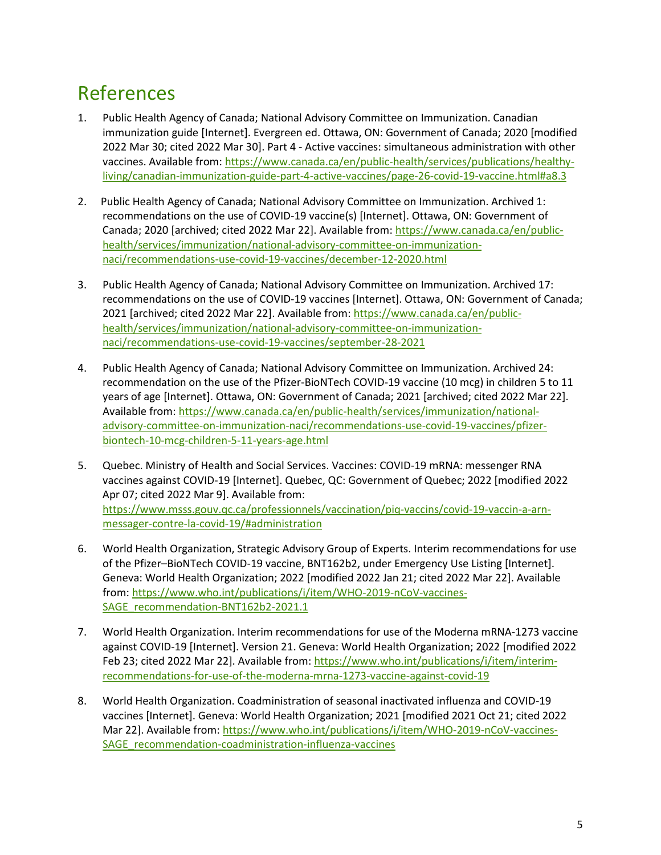## References

- 1. Public Health Agency of Canada; National Advisory Committee on Immunization. Canadian immunization guide [Internet]. Evergreen ed. Ottawa, ON: Government of Canada; 2020 [modified 2022 Mar 30; cited 2022 Mar 30]. Part 4 - Active vaccines: simultaneous administration with other vaccines. Available from: [https://www.canada.ca/en/public-health/services/publications/healthy](https://www.canada.ca/en/public-health/services/publications/healthy-living/canadian-immunization-guide-part-4-active-vaccines/page-26-covid-19-vaccine.html#a8.3)[living/canadian-immunization-guide-part-4-active-vaccines/page-26-covid-19-vaccine.html#a8.3](https://www.canada.ca/en/public-health/services/publications/healthy-living/canadian-immunization-guide-part-4-active-vaccines/page-26-covid-19-vaccine.html#a8.3)
- 2. Public Health Agency of Canada; National Advisory Committee on Immunization. Archived 1: recommendations on the use of COVID-19 vaccine(s) [Internet]. Ottawa, ON: Government of Canada; 2020 [archived; cited 2022 Mar 22]. Available from: [https://www.canada.ca/en/public](https://www.canada.ca/en/public-health/services/immunization/national-advisory-committee-on-immunization-naci/recommendations-use-covid-19-vaccines/december-12-2020.html)[health/services/immunization/national-advisory-committee-on-immunization](https://www.canada.ca/en/public-health/services/immunization/national-advisory-committee-on-immunization-naci/recommendations-use-covid-19-vaccines/december-12-2020.html)[naci/recommendations-use-covid-19-vaccines/december-12-2020.html](https://www.canada.ca/en/public-health/services/immunization/national-advisory-committee-on-immunization-naci/recommendations-use-covid-19-vaccines/december-12-2020.html)
- 3. Public Health Agency of Canada; National Advisory Committee on Immunization. Archived 17: recommendations on the use of COVID-19 vaccines [Internet]. Ottawa, ON: Government of Canada; 2021 [archived; cited 2022 Mar 22]. Available from[: https://www.canada.ca/en/public](https://www.canada.ca/en/public-health/services/immunization/national-advisory-committee-on-immunization-naci/recommendations-use-covid-19-vaccines/september-28-2021)[health/services/immunization/national-advisory-committee-on-immunization](https://www.canada.ca/en/public-health/services/immunization/national-advisory-committee-on-immunization-naci/recommendations-use-covid-19-vaccines/september-28-2021)[naci/recommendations-use-covid-19-vaccines/september-28-2021](https://www.canada.ca/en/public-health/services/immunization/national-advisory-committee-on-immunization-naci/recommendations-use-covid-19-vaccines/september-28-2021)
- 4. Public Health Agency of Canada; National Advisory Committee on Immunization. Archived 24: recommendation on the use of the Pfizer-BioNTech COVID-19 vaccine (10 mcg) in children 5 to 11 years of age [Internet]. Ottawa, ON: Government of Canada; 2021 [archived; cited 2022 Mar 22]. Available from[: https://www.canada.ca/en/public-health/services/immunization/national](https://www.canada.ca/en/public-health/services/immunization/national-advisory-committee-on-immunization-naci/recommendations-use-covid-19-vaccines/pfizer-biontech-10-mcg-children-5-11-years-age.html)[advisory-committee-on-immunization-naci/recommendations-use-covid-19-vaccines/pfizer](https://www.canada.ca/en/public-health/services/immunization/national-advisory-committee-on-immunization-naci/recommendations-use-covid-19-vaccines/pfizer-biontech-10-mcg-children-5-11-years-age.html)[biontech-10-mcg-children-5-11-years-age.html](https://www.canada.ca/en/public-health/services/immunization/national-advisory-committee-on-immunization-naci/recommendations-use-covid-19-vaccines/pfizer-biontech-10-mcg-children-5-11-years-age.html)
- 5. Quebec. Ministry of Health and Social Services. Vaccines: COVID-19 mRNA: messenger RNA vaccines against COVID-19 [Internet]. Quebec, QC: Government of Quebec; 2022 [modified 2022 Apr 07; cited 2022 Mar 9]. Available from: [https://www.msss.gouv.qc.ca/professionnels/vaccination/piq-vaccins/covid-19-vaccin-a-arn](https://www.msss.gouv.qc.ca/professionnels/vaccination/piq-vaccins/covid-19-vaccin-a-arn-messager-contre-la-covid-19/#administration)[messager-contre-la-covid-19/#administration](https://www.msss.gouv.qc.ca/professionnels/vaccination/piq-vaccins/covid-19-vaccin-a-arn-messager-contre-la-covid-19/#administration)
- 6. World Health Organization, Strategic Advisory Group of Experts. Interim recommendations for use of the Pfizer–BioNTech COVID-19 vaccine, BNT162b2, under Emergency Use Listing [Internet]. Geneva: World Health Organization; 2022 [modified 2022 Jan 21; cited 2022 Mar 22]. Available from: [https://www.who.int/publications/i/item/WHO-2019-nCoV-vaccines-](https://www.who.int/publications/i/item/WHO-2019-nCoV-vaccines-SAGE_recommendation-BNT162b2-2021.1)[SAGE\\_recommendation-BNT162b2-2021.1](https://www.who.int/publications/i/item/WHO-2019-nCoV-vaccines-SAGE_recommendation-BNT162b2-2021.1)
- 7. World Health Organization. Interim recommendations for use of the Moderna mRNA-1273 vaccine against COVID-19 [Internet]. Version 21. Geneva: World Health Organization; 2022 [modified 2022 Feb 23; cited 2022 Mar 22]. Available from: [https://www.who.int/publications/i/item/interim](https://www.who.int/publications/i/item/interim-recommendations-for-use-of-the-moderna-mrna-1273-vaccine-against-covid-19)[recommendations-for-use-of-the-moderna-mrna-1273-vaccine-against-covid-19](https://www.who.int/publications/i/item/interim-recommendations-for-use-of-the-moderna-mrna-1273-vaccine-against-covid-19)
- 8. World Health Organization. Coadministration of seasonal inactivated influenza and COVID-19 vaccines [Internet]. Geneva: World Health Organization; 2021 [modified 2021 Oct 21; cited 2022 Mar 22]. Available from: [https://www.who.int/publications/i/item/WHO-2019-nCoV-vaccines-](https://www.who.int/publications/i/item/WHO-2019-nCoV-vaccines-SAGE_recommendation-coadministration-influenza-vaccines)[SAGE\\_recommendation-coadministration-influenza-vaccines](https://www.who.int/publications/i/item/WHO-2019-nCoV-vaccines-SAGE_recommendation-coadministration-influenza-vaccines)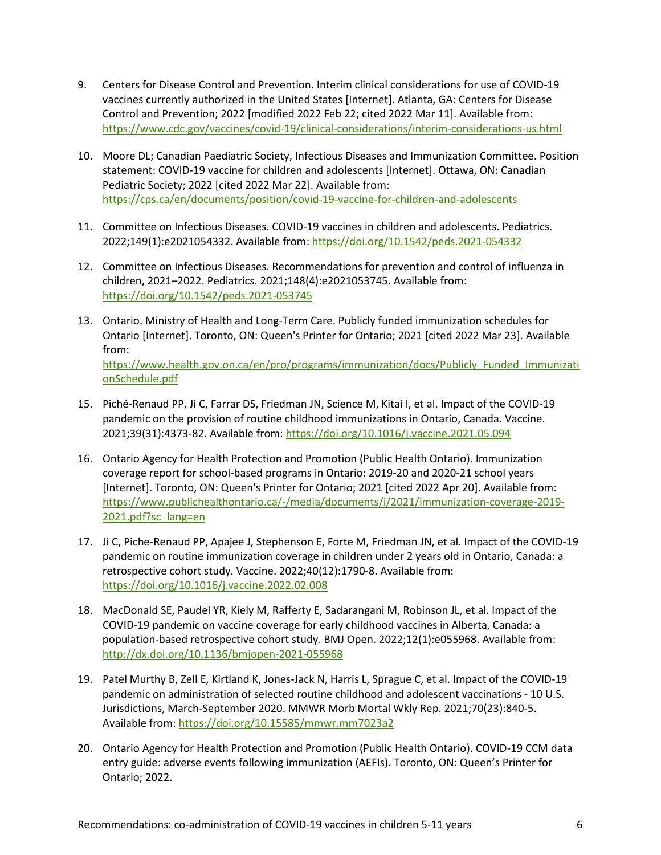- 9. Centers for Disease Control and Prevention. Interim clinical considerations for use of COVID-19 vaccines currently authorized in the United States [Internet]. Atlanta, GA: Centers for Disease Control and Prevention; 2022 [modified 2022 Feb 22; cited 2022 Mar 11]. Available from: <https://www.cdc.gov/vaccines/covid-19/clinical-considerations/interim-considerations-us.html>
- 10. Moore DL; Canadian Paediatric Society, Infectious Diseases and Immunization Committee. Position statement: COVID-19 vaccine for children and adolescents [Internet]. Ottawa, ON: Canadian Pediatric Society; 2022 [cited 2022 Mar 22]. Available from: <https://cps.ca/en/documents/position/covid-19-vaccine-for-children-and-adolescents>
- 11. Committee on Infectious Diseases. COVID-19 vaccines in children and adolescents. Pediatrics. 2022;149(1):e2021054332. Available from:<https://doi.org/10.1542/peds.2021-054332>
- 12. Committee on Infectious Diseases. Recommendations for prevention and control of influenza in children, 2021–2022. Pediatrics. 2021;148(4):e2021053745. Available from: <https://doi.org/10.1542/peds.2021-053745>
- 13. Ontario. Ministry of Health and Long-Term Care. Publicly funded immunization schedules for Ontario [Internet]. Toronto, ON: Queen's Printer for Ontario; 2021 [cited 2022 Mar 23]. Available from: [https://www.health.gov.on.ca/en/pro/programs/immunization/docs/Publicly\\_Funded\\_Immunizati](https://www.health.gov.on.ca/en/pro/programs/immunization/docs/Publicly_Funded_ImmunizationSchedule.pdf) [onSchedule.pdf](https://www.health.gov.on.ca/en/pro/programs/immunization/docs/Publicly_Funded_ImmunizationSchedule.pdf)
- 15. Piché-Renaud PP, Ji C, Farrar DS, Friedman JN, Science M, Kitai I, et al. Impact of the COVID-19 pandemic on the provision of routine childhood immunizations in Ontario, Canada. Vaccine. 2021;39(31):4373-82. Available from[: https://doi.org/10.1016/j.vaccine.2021.05.094](https://doi.org/10.1016/j.vaccine.2021.05.094)
- 16. Ontario Agency for Health Protection and Promotion (Public Health Ontario). Immunization coverage report for school-based programs in Ontario: 2019-20 and 2020-21 school years [Internet]. Toronto, ON: Queen's Printer for Ontario; 2021 [cited 2022 Apr 20]. Available from: [https://www.publichealthontario.ca/-/media/documents/i/2021/immunization-coverage-2019-](https://www.publichealthontario.ca/-/media/documents/i/2021/immunization-coverage-2019-2021.pdf?sc_lang=en) [2021.pdf?sc\\_lang=en](https://www.publichealthontario.ca/-/media/documents/i/2021/immunization-coverage-2019-2021.pdf?sc_lang=en)
- 17. Ji C, Piche-Renaud PP, Apajee J, Stephenson E, Forte M, Friedman JN, et al. Impact of the COVID-19 pandemic on routine immunization coverage in children under 2 years old in Ontario, Canada: a retrospective cohort study. Vaccine. 2022;40(12):1790-8. Available from: <https://doi.org/10.1016/j.vaccine.2022.02.008>
- 18. MacDonald SE, Paudel YR, Kiely M, Rafferty E, Sadarangani M, Robinson JL, et al. Impact of the COVID-19 pandemic on vaccine coverage for early childhood vaccines in Alberta, Canada: a population-based retrospective cohort study. BMJ Open. 2022;12(1):e055968. Available from: <http://dx.doi.org/10.1136/bmjopen-2021-055968>
- 19. Patel Murthy B, Zell E, Kirtland K, Jones-Jack N, Harris L, Sprague C, et al. Impact of the COVID-19 pandemic on administration of selected routine childhood and adolescent vaccinations - 10 U.S. Jurisdictions, March-September 2020. MMWR Morb Mortal Wkly Rep. 2021;70(23):840-5. Available from[: https://doi.org/10.15585/mmwr.mm7023a2](https://doi.org/10.15585/mmwr.mm7023a2)
- 20. Ontario Agency for Health Protection and Promotion (Public Health Ontario). COVID-19 CCM data entry guide: adverse events following immunization (AEFIs). Toronto, ON: Queen's Printer for Ontario; 2022.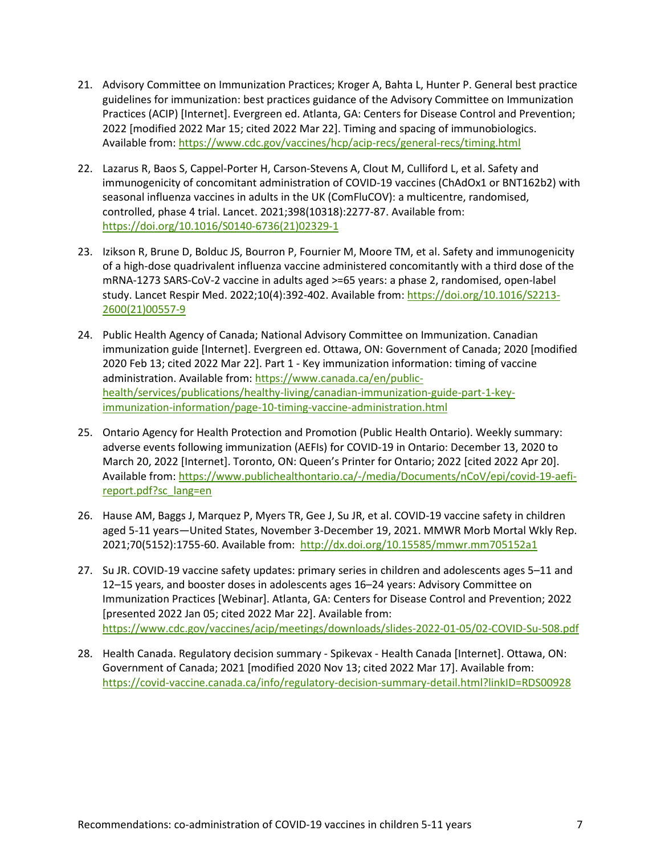- 21. Advisory Committee on Immunization Practices; Kroger A, Bahta L, Hunter P. General best practice guidelines for immunization: best practices guidance of the Advisory Committee on Immunization Practices (ACIP) [Internet]. Evergreen ed. Atlanta, GA: Centers for Disease Control and Prevention; 2022 [modified 2022 Mar 15; cited 2022 Mar 22]. Timing and spacing of immunobiologics. Available from[: https://www.cdc.gov/vaccines/hcp/acip-recs/general-recs/timing.html](https://www.cdc.gov/vaccines/hcp/acip-recs/general-recs/timing.html)
- 22. Lazarus R, Baos S, Cappel-Porter H, Carson-Stevens A, Clout M, Culliford L, et al. Safety and immunogenicity of concomitant administration of COVID-19 vaccines (ChAdOx1 or BNT162b2) with seasonal influenza vaccines in adults in the UK (ComFluCOV): a multicentre, randomised, controlled, phase 4 trial. Lancet. 2021;398(10318):2277-87. Available from: [https://doi.org/10.1016/S0140-6736\(21\)02329-1](https://doi.org/10.1016/S0140-6736(21)02329-1)
- 23. Izikson R, Brune D, Bolduc JS, Bourron P, Fournier M, Moore TM, et al. Safety and immunogenicity of a high-dose quadrivalent influenza vaccine administered concomitantly with a third dose of the mRNA-1273 SARS-CoV-2 vaccine in adults aged >=65 years: a phase 2, randomised, open-label study. Lancet Respir Med. 2022;10(4):392-402. Available from: [https://doi.org/10.1016/S2213-](https://doi.org/10.1016/S2213-2600(21)00557-9) [2600\(21\)00557-9](https://doi.org/10.1016/S2213-2600(21)00557-9)
- 24. Public Health Agency of Canada; National Advisory Committee on Immunization. Canadian immunization guide [Internet]. Evergreen ed. Ottawa, ON: Government of Canada; 2020 [modified 2020 Feb 13; cited 2022 Mar 22]. Part 1 - Key immunization information: timing of vaccine administration. Available from: [https://www.canada.ca/en/public](https://www.canada.ca/en/public-health/services/publications/healthy-living/canadian-immunization-guide-part-1-key-immunization-information/page-10-timing-vaccine-administration.html)[health/services/publications/healthy-living/canadian-immunization-guide-part-1-key](https://www.canada.ca/en/public-health/services/publications/healthy-living/canadian-immunization-guide-part-1-key-immunization-information/page-10-timing-vaccine-administration.html)[immunization-information/page-10-timing-vaccine-administration.html](https://www.canada.ca/en/public-health/services/publications/healthy-living/canadian-immunization-guide-part-1-key-immunization-information/page-10-timing-vaccine-administration.html)
- 25. Ontario Agency for Health Protection and Promotion (Public Health Ontario). Weekly summary: adverse events following immunization (AEFIs) for COVID-19 in Ontario: December 13, 2020 to March 20, 2022 [Internet]. Toronto, ON: Queen's Printer for Ontario; 2022 [cited 2022 Apr 20]. Available from[: https://www.publichealthontario.ca/-/media/Documents/nCoV/epi/covid-19-aefi](https://www.publichealthontario.ca/-/media/Documents/nCoV/epi/covid-19-aefi-report.pdf?sc_lang=en)[report.pdf?sc\\_lang=en](https://www.publichealthontario.ca/-/media/Documents/nCoV/epi/covid-19-aefi-report.pdf?sc_lang=en)
- 26. Hause AM, Baggs J, Marquez P, Myers TR, Gee J, Su JR, et al. COVID-19 vaccine safety in children aged 5-11 years—United States, November 3-December 19, 2021. MMWR Morb Mortal Wkly Rep. 2021;70(5152):1755-60. Available from: <http://dx.doi.org/10.15585/mmwr.mm705152a1>
- 27. Su JR. COVID-19 vaccine safety updates: primary series in children and adolescents ages 5–11 and 12–15 years, and booster doses in adolescents ages 16–24 years: Advisory Committee on Immunization Practices [Webinar]. Atlanta, GA: Centers for Disease Control and Prevention; 2022 [presented 2022 Jan 05; cited 2022 Mar 22]. Available from: <https://www.cdc.gov/vaccines/acip/meetings/downloads/slides-2022-01-05/02-COVID-Su-508.pdf>
- 28. Health Canada. Regulatory decision summary Spikevax Health Canada [Internet]. Ottawa, ON: Government of Canada; 2021 [modified 2020 Nov 13; cited 2022 Mar 17]. Available from: <https://covid-vaccine.canada.ca/info/regulatory-decision-summary-detail.html?linkID=RDS00928>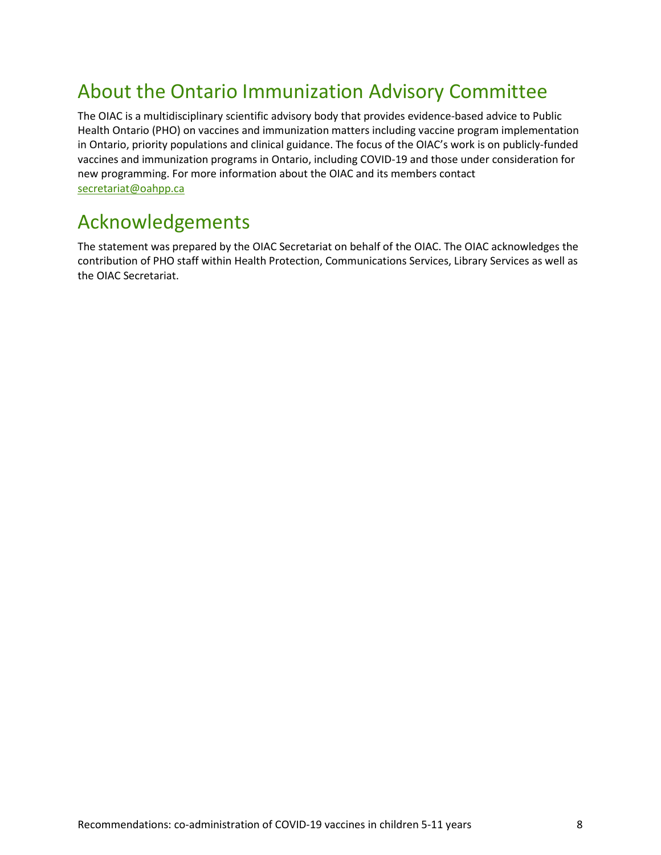## About the Ontario Immunization Advisory Committee

The OIAC is a multidisciplinary scientific advisory body that provides evidence-based advice to Public Health Ontario (PHO) on vaccines and immunization matters including vaccine program implementation in Ontario, priority populations and clinical guidance. The focus of the OIAC's work is on publicly-funded vaccines and immunization programs in Ontario, including COVID-19 and those under consideration for new programming. For more information about the OIAC and its members contact [secretariat@oahpp.ca](mailto:secretariat@oahpp.ca)

#### Acknowledgements

The statement was prepared by the OIAC Secretariat on behalf of the OIAC. The OIAC acknowledges the contribution of PHO staff within Health Protection, Communications Services, Library Services as well as the OIAC Secretariat.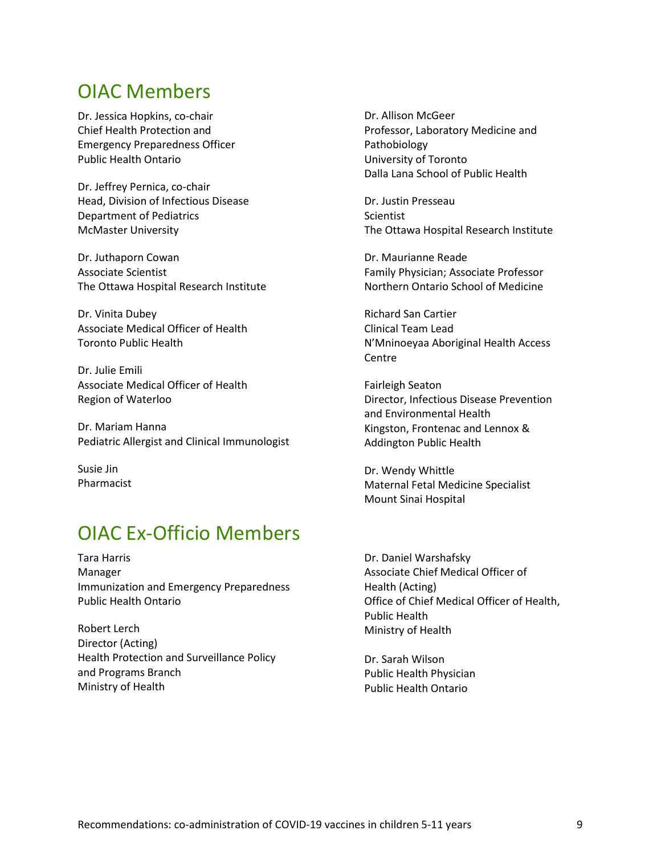#### OIAC Members

Dr. Jessica Hopkins, co-chair Chief Health Protection and Emergency Preparedness Officer Public Health Ontario

Dr. Jeffrey Pernica, co-chair Head, Division of Infectious Disease Department of Pediatrics McMaster University

Dr. Juthaporn Cowan Associate Scientist The Ottawa Hospital Research Institute

Dr. Vinita Dubey Associate Medical Officer of Health Toronto Public Health

Dr. Julie Emili Associate Medical Officer of Health Region of Waterloo

Dr. Mariam Hanna Pediatric Allergist and Clinical Immunologist

Susie Jin Pharmacist

### OIAC Ex-Officio Members

Tara Harris Manager Immunization and Emergency Preparedness Public Health Ontario

Robert Lerch Director (Acting) Health Protection and Surveillance Policy and Programs Branch Ministry of Health

Dr. Allison McGeer Professor, Laboratory Medicine and Pathobiology University of Toronto Dalla Lana School of Public Health

Dr. Justin Presseau Scientist The Ottawa Hospital Research Institute

Dr. Maurianne Reade Family Physician; Associate Professor Northern Ontario School of Medicine

Richard San Cartier Clinical Team Lead N'Mninoeyaa Aboriginal Health Access Centre

Fairleigh Seaton Director, Infectious Disease Prevention and Environmental Health Kingston, Frontenac and Lennox & Addington Public Health

Dr. Wendy Whittle Maternal Fetal Medicine Specialist Mount Sinai Hospital

Dr. Daniel Warshafsky Associate Chief Medical Officer of Health (Acting) Office of Chief Medical Officer of Health, Public Health Ministry of Health

Dr. Sarah Wilson Public Health Physician Public Health Ontario